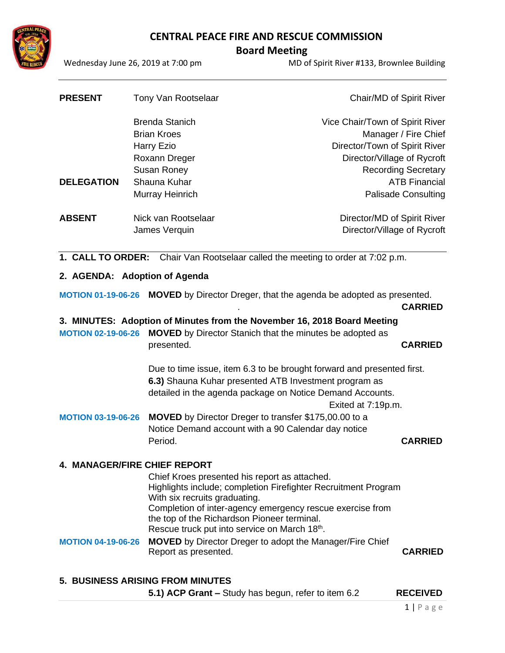

 **Board Meeting** 

Wednesday June 26, 2019 at 7:00 pm MD of Spirit River #133, Brownlee Building

| <b>PRESENT</b>    | Tony Van Rootselaar   | Chair/MD of Spirit River        |
|-------------------|-----------------------|---------------------------------|
|                   | <b>Brenda Stanich</b> | Vice Chair/Town of Spirit River |
|                   | <b>Brian Kroes</b>    | Manager / Fire Chief            |
|                   | Harry Ezio            | Director/Town of Spirit River   |
|                   | Roxann Dreger         | Director/Village of Rycroft     |
|                   | Susan Roney           | <b>Recording Secretary</b>      |
| <b>DELEGATION</b> | Shauna Kuhar          | <b>ATB Financial</b>            |
|                   | Murray Heinrich       | <b>Palisade Consulting</b>      |
| <b>ABSENT</b>     | Nick van Rootselaar   | Director/MD of Spirit River     |
|                   | James Verquin         | Director/Village of Rycroft     |
|                   |                       |                                 |

**1. CALL TO ORDER:** Chair Van Rootselaar called the meeting to order at 7:02 p.m.

## **2. AGENDA: Adoption of Agenda**

**MOTION 01-19-06-26 MOVED** by Director Dreger, that the agenda be adopted as presented.

. **CARRIED**

## **3. MINUTES: Adoption of Minutes from the November 16, 2018 Board Meeting**

**MOTION 02-19-06-26 MOVED** by Director Stanich that the minutes be adopted as presented. **CARRIED**

> Due to time issue, item 6.3 to be brought forward and presented first. **6.3)** Shauna Kuhar presented ATB Investment program as detailed in the agenda package on Notice Demand Accounts. Exited at 7:19p.m.

# **MOTION 03-19-06-26 MOVED** by Director Dreger to transfer \$175,00.00 to a Notice Demand account with a 90 Calendar day notice Period. **CARRIED**

## **4. MANAGER/FIRE CHIEF REPORT**

Chief Kroes presented his report as attached. Highlights include; completion Firefighter Recruitment Program With six recruits graduating. Completion of inter-agency emergency rescue exercise from the top of the Richardson Pioneer terminal. Rescue truck put into service on March 18<sup>th</sup>.

**MOTION 04-19-06-26 MOVED** by Director Dreger to adopt the Manager/Fire Chief Report as presented. **CARRIED**

## **5. BUSINESS ARISING FROM MINUTES**

**5.1) ACP Grant –** Study has begun, refer to item 6.2 **RECEIVED**